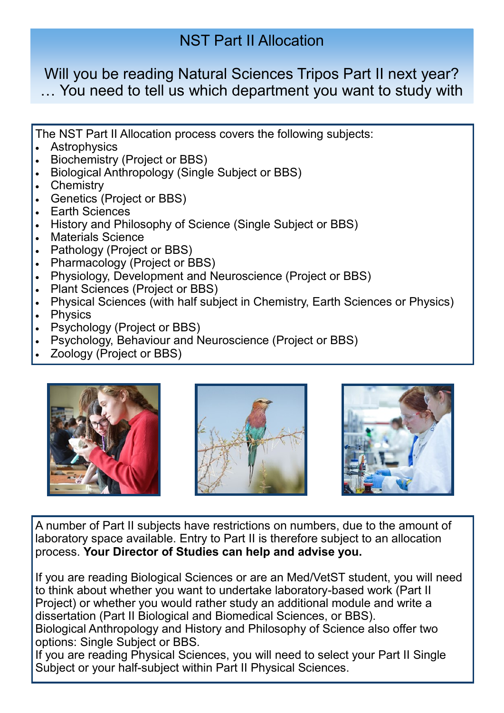# NST Part II Allocation

Will you be reading Natural Sciences Tripos Part II next year? … You need to tell us which department you want to study with

The NST Part II Allocation process covers the following subjects:

- Astrophysics
- Biochemistry (Project or BBS)
- Biological Anthropology (Single Subject or BBS)
- Chemistry
- Genetics (Project or BBS)
- Earth Sciences
- History and Philosophy of Science (Single Subject or BBS)
- **Materials Science**
- Pathology (Project or BBS)
- Pharmacology (Project or BBS)
- Physiology, Development and Neuroscience (Project or BBS)
- Plant Sciences (Project or BBS)
- Physical Sciences (with half subject in Chemistry, Earth Sciences or Physics)
- Physics
- Psychology (Project or BBS)
- Psychology, Behaviour and Neuroscience (Project or BBS)
- Zoology (Project or BBS)







A number of Part II subjects have restrictions on numbers, due to the amount of laboratory space available. Entry to Part II is therefore subject to an allocation process. **Your Director of Studies can help and advise you.** 

If you are reading Biological Sciences or are an Med/VetST student, you will need to think about whether you want to undertake laboratory-based work (Part II Project) or whether you would rather study an additional module and write a dissertation (Part II Biological and Biomedical Sciences, or BBS). Biological Anthropology and History and Philosophy of Science also offer two options: Single Subject or BBS.

If you are reading Physical Sciences, you will need to select your Part II Single Subject or your half-subject within Part II Physical Sciences.